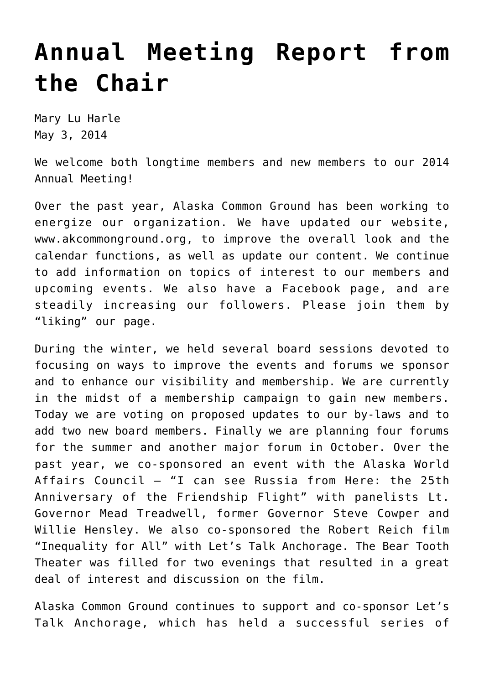## **[Annual Meeting Report from](https://akcommonground.org/annual-meeting-report-from-the-chair-2/) [the Chair](https://akcommonground.org/annual-meeting-report-from-the-chair-2/)**

Mary Lu Harle May 3, 2014

We welcome both longtime members and new members to our 2014 Annual Meeting!

Over the past year, Alaska Common Ground has been working to energize our organization. We have updated our website, www.akcommonground.org, to improve the overall look and the calendar functions, as well as update our content. We continue to add information on topics of interest to our members and upcoming events. We also have a [Facebook page](https://www.facebook.com/akcommonground), and are steadily increasing our followers. Please join them by "liking" our page.

During the winter, we held several board sessions devoted to focusing on ways to improve the events and forums we sponsor and to enhance our visibility and membership. We are currently in the midst of a membership campaign to gain new members. Today we are voting on proposed updates to our by-laws and to add two new board members. Finally we are planning four forums for the summer and another major forum in October. Over the past year, we co-sponsored an event with the Alaska World Affairs Council – "I can see Russia from Here: the 25th Anniversary of the Friendship Flight" with panelists Lt. Governor Mead Treadwell, former Governor Steve Cowper and Willie Hensley. We also co-sponsored the Robert Reich film "Inequality for All" with Let's Talk Anchorage. The Bear Tooth Theater was filled for two evenings that resulted in a great deal of interest and discussion on the film.

Alaska Common Ground continues to support and co-sponsor [Let's](https://akcommonground.org/programs/lets-talk-alaska/) [Talk Anchorage](https://akcommonground.org/programs/lets-talk-alaska/), which has held a successful series of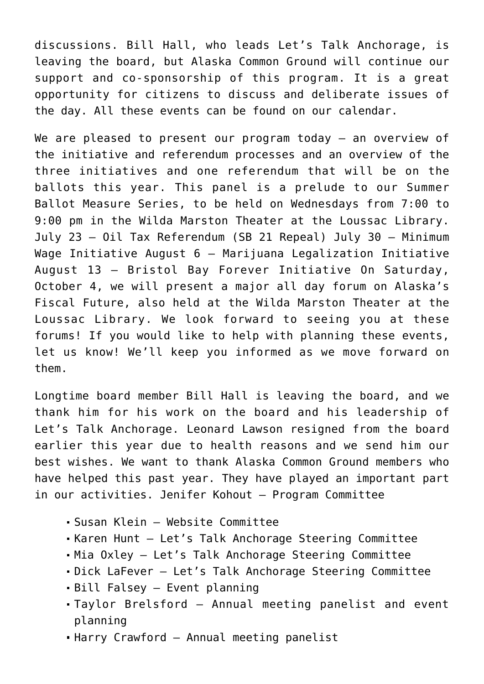discussions. Bill Hall, who leads Let's Talk Anchorage, is leaving the board, but Alaska Common Ground will continue our support and co-sponsorship of this program. It is a great opportunity for citizens to discuss and deliberate issues of the day. All these events can be found on our calendar.

We are pleased to present our program today - an overview of the initiative and referendum processes and an overview of the three initiatives and one referendum that will be on the ballots this year. This panel is a prelude to our [Summer](https://akcommonground.org/events/ballot-initiative-series/) [Ballot Measure S](https://akcommonground.org/events/ballot-initiative-series/)eries, to be held on Wednesdays from 7:00 to 9:00 pm in the Wilda Marston Theater at the Loussac Library. July 23 – Oil Tax Referendum (SB 21 Repeal) July 30 – Minimum Wage Initiative August 6 – Marijuana Legalization Initiative August 13 – Bristol Bay Forever Initiative On Saturday, October 4, we will present a major all day forum on [Alaska's](https://akcommonground.org/events/alaskas-fiscal-future/) [Fiscal Future](https://akcommonground.org/events/alaskas-fiscal-future/), also held at the Wilda Marston Theater at the Loussac Library. We look forward to seeing you at these forums! If you would like to help with planning these events, let us know! We'll keep you informed as we move forward on them.

Longtime board member Bill Hall is leaving the board, and we thank him for his work on the board and his leadership of Let's Talk Anchorage. Leonard Lawson resigned from the board earlier this year due to health reasons and we send him our best wishes. We want to thank Alaska Common Ground members who have helped this past year. They have played an important part in our activities. Jenifer Kohout – Program Committee

- Susan Klein Website Committee
- Karen Hunt Let's Talk Anchorage Steering Committee
- Mia Oxley Let's Talk Anchorage Steering Committee
- Dick LaFever Let's Talk Anchorage Steering Committee
- Bill Falsey Event planning
- Taylor Brelsford Annual meeting panelist and event planning
- Harry Crawford Annual meeting panelist